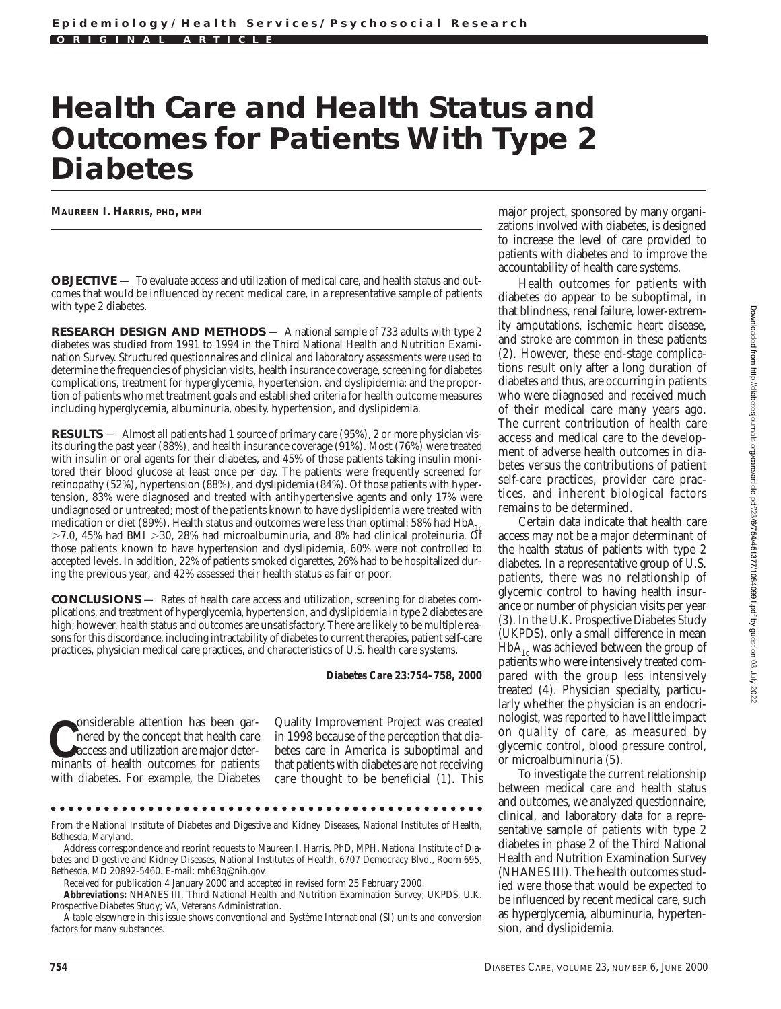# **Health Care and Health Status and Outcomes for Patients With Type 2 Diabetes**

**MAUREEN I. HARRIS, PHD, MPH**

**OBJECTIVE** — To evaluate access and utilization of medical care, and health status and outcomes that would be influenced by recent medical care, in a representative sample of patients with type 2 diabetes.

**RESEARCH DESIGN AND METHODS** — A national sample of 733 adults with type 2 diabetes was studied from 1991 to 1994 in the Third National Health and Nutrition Examination Survey. Structured questionnaires and clinical and laboratory assessments were used to determine the frequencies of physician visits, health insurance coverage, screening for diabetes complications, treatment for hyperglycemia, hypertension, and dyslipidemia; and the proportion of patients who met treatment goals and established criteria for health outcome measures including hyperglycemia, albuminuria, obesity, hypertension, and dyslipidemia.

**RESULTS** — Almost all patients had 1 source of primary care (95%), 2 or more physician visits during the past year (88%), and health insurance coverage (91%). Most (76%) were treated with insulin or oral agents for their diabetes, and 45% of those patients taking insulin monitored their blood glucose at least once per day. The patients were frequently screened for retinopathy (52%), hypertension (88%), and dyslipidemia (84%). Of those patients with hypertension, 83% were diagnosed and treated with antihypertensive agents and only 17% were undiagnosed or untreated; most of the patients known to have dyslipidemia were treated with medication or diet (89%). Health status and outcomes were less than optimal: 58% had  $HbA<sub>1</sub>$  $>7.0$ , 45% had BMI  $>30$ , 28% had microalbuminuria, and 8% had clinical proteinuria. Of those patients known to have hypertension and dyslipidemia, 60% were not controlled to accepted levels. In addition, 22% of patients smoked cigarettes, 26% had to be hospitalized during the previous year, and 42% assessed their health status as fair or poor.

**CONCLUSIONS** — Rates of health care access and utilization, screening for diabetes complications, and treatment of hyperglycemia, hypertension, and dyslipidemia in type 2 diabetes are high; however, health status and outcomes are unsatisfactory. There are likely to be multiple reasons for this discordance, including intractability of diabetes to current therapies, patient self-care practices, physician medical care practices, and characteristics of U.S. health care systems.

#### *Diabetes Care* **23:754–758, 2000**

**C**minants of health outcomes for patients of health outcomes for patients onsiderable attention has been garnered by the concept that health care access and utilization are major deterwith diabetes. For example, the Diabetes

Quality Improvement Project was created in 1998 because of the perception that diabetes care in America is suboptimal and that patients with diabetes are not receiving care thought to be beneficial (1). This

From the National Institute of Diabetes and Digestive and Kidney Diseases, National Institutes of Health, Bethesda, Maryland.

Address correspondence and reprint requests to Maureen I. Harris, PhD, MPH, National Institute of Diabetes and Digestive and Kidney Diseases, National Institutes of Health, 6707 Democracy Blvd., Room 695, Bethesda, MD 20892-5460. E-mail: mh63q@nih.gov.

Received for publication 4 January 2000 and accepted in revised form 25 February 2000.

**Abbreviations:** NHANES III, Third National Health and Nutrition Examination Survey; UKPDS, U.K. Prospective Diabetes Study; VA, Veterans Administration.

A table elsewhere in this issue shows conventional and Système International (SI) units and conversion factors for many substances.

major project, sponsored by many organizations involved with diabetes, is designed to increase the level of care provided to patients with diabetes and to improve the accountability of health care systems.

Health outcomes for patients with diabetes do appear to be suboptimal, in that blindness, renal failure, lower-extremity amputations, ischemic heart disease, and stroke are common in these patients (2). However, these end-stage complications result only after a long duration of diabetes and thus, are occurring in patients who were diagnosed and received much of their medical care many years ago. The current contribution of health care access and medical care to the development of adverse health outcomes in diabetes versus the contributions of patient self-care practices, provider care practices, and inherent biological factors remains to be determined.

Certain data indicate that health care access may not be a major determinant of the health status of patients with type 2 diabetes. In a representative group of U.S. patients, there was no relationship of glycemic control to having health insurance or number of physician visits per year (3). In the U.K. Prospective Diabetes Study (UKPDS), only a small difference in mean  $HbA_{1c}$  was achieved between the group of patients who were intensively treated compared with the group less intensively treated (4). Physician specialty, particularly whether the physician is an endocrinologist, was reported to have little impact on quality of care, as measured by glycemic control, blood pressure control, or microalbuminuria (5).

To investigate the current relationship between medical care and health status and outcomes, we analyzed questionnaire, clinical, and laboratory data for a representative sample of patients with type 2 diabetes in phase 2 of the Third National Health and Nutrition Examination Survey (NHANES III). The health outcomes studied were those that would be expected to be influenced by recent medical care, such as hyperglycemia, albuminuria, hypertension, and dyslipidemia.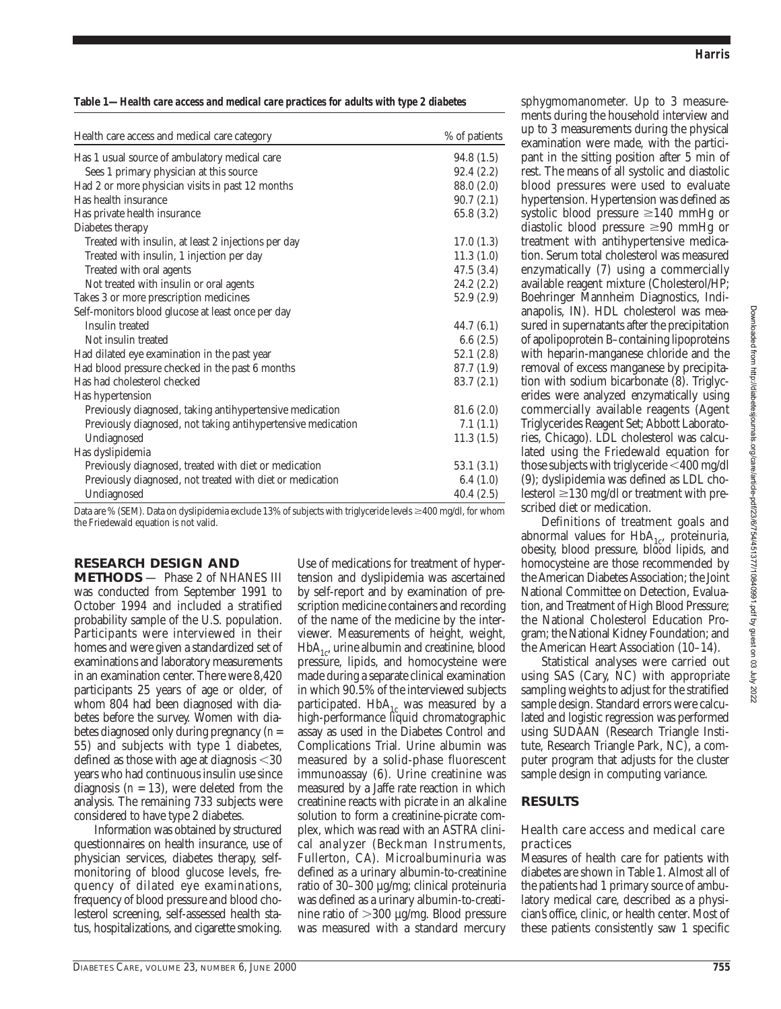**Table 1—***Health care access and medical care practices for adults with type 2 diabetes*

| Health care access and medical care category                 | % of patients |
|--------------------------------------------------------------|---------------|
| Has 1 usual source of ambulatory medical care                | 94.8(1.5)     |
| Sees 1 primary physician at this source                      | 92.4(2.2)     |
| Had 2 or more physician visits in past 12 months             | 88.0 (2.0)    |
| Has health insurance                                         | 90.7(2.1)     |
| Has private health insurance                                 | 65.8 (3.2)    |
| Diabetes therapy                                             |               |
| Treated with insulin, at least 2 injections per day          | 17.0(1.3)     |
| Treated with insulin, 1 injection per day                    | 11.3(1.0)     |
| Treated with oral agents                                     | 47.5(3.4)     |
| Not treated with insulin or oral agents                      | 24.2(2.2)     |
| Takes 3 or more prescription medicines                       | 52.9(2.9)     |
| Self-monitors blood glucose at least once per day            |               |
| Insulin treated                                              | 44.7(6.1)     |
| Not insulin treated                                          | 6.6(2.5)      |
| Had dilated eye examination in the past year                 | 52.1(2.8)     |
| Had blood pressure checked in the past 6 months              | 87.7 (1.9)    |
| Has had cholesterol checked                                  | 83.7(2.1)     |
| Has hypertension                                             |               |
| Previously diagnosed, taking antihypertensive medication     | 81.6(2.0)     |
| Previously diagnosed, not taking antihypertensive medication | 7.1(1.1)      |
| Undiagnosed                                                  | 11.3(1.5)     |
| Has dyslipidemia                                             |               |
| Previously diagnosed, treated with diet or medication        | 53.1(3.1)     |
| Previously diagnosed, not treated with diet or medication    | 6.4(1.0)      |
| Undiagnosed                                                  | 40.4(2.5)     |

Data are % (SEM). Data on dyslipidemia exclude 13% of subjects with triglyceride levels  $\geq$ 400 mg/dl, for whom the Friedewald equation is not valid.

## **RESEARCH DESIGN AND**

**METHODS** — Phase 2 of NHANES III was conducted from September 1991 to October 1994 and included a stratified probability sample of the U.S. population. Participants were interviewed in their homes and were given a standardized set of examinations and laboratory measurements in an examination center. There were 8,420 participants 25 years of age or older, of whom 804 had been diagnosed with diabetes before the survey. Women with diabetes diagnosed only during pregnancy (*n* = 55) and subjects with type 1 diabetes, defined as those with age at diagnosis  $<$ 30 years who had continuous insulin use since diagnosis  $(n = 13)$ , were deleted from the analysis. The remaining 733 subjects were considered to have type 2 diabetes.

Information was obtained by structured questionnaires on health insurance, use of physician services, diabetes therapy, selfmonitoring of blood glucose levels, frequency of dilated eye examinations, frequency of blood pressure and blood cholesterol screening, self-assessed health status, hospitalizations, and cigarette smoking.

Use of medications for treatment of hypertension and dyslipidemia was ascertained by self-report and by examination of prescription medicine containers and recording of the name of the medicine by the interviewer. Measurements of height, weight,  $HbA_{1c}$ , urine albumin and creatinine, blood pressure, lipids, and homocysteine were made during a separate clinical examination in which 90.5% of the interviewed subjects participated.  $HbA_{1c}$  was measured by a high-performance liquid chromatographic assay as used in the Diabetes Control and Complications Trial. Urine albumin was measured by a solid-phase fluorescent immunoassay (6). Urine creatinine was measured by a Jaffe rate reaction in which creatinine reacts with picrate in an alkaline solution to form a creatinine-picrate complex, which was read with an ASTRA clinical analyzer (Beckman Instruments, Fullerton, CA). Microalbuminuria was defined as a urinary albumin-to-creatinine ratio of 30–300 µg/mg; clinical proteinuria was defined as a urinary albumin-to-creatinine ratio of  $>300 \mu g/mg$ . Blood pressure was measured with a standard mercury

sphygmomanometer. Up to 3 measurements during the household interview and up to 3 measurements during the physical examination were made, with the participant in the sitting position after 5 min of rest. The means of all systolic and diastolic blood pressures were used to evaluate hypertension. Hypertension was defined as systolic blood pressure  $\geq 140$  mmHg or diastolic blood pressure  $\geq 90$  mmHg or treatment with antihypertensive medication. Serum total cholesterol was measured enzymatically (7) using a commercially available reagent mixture (Cholesterol/HP; Boehringer Mannheim Diagnostics, Indianapolis, IN). HDL cholesterol was measured in supernatants after the precipitation of apolipoprotein B–containing lipoproteins with heparin-manganese chloride and the removal of excess manganese by precipitation with sodium bicarbonate (8). Triglycerides were analyzed enzymatically using commercially available reagents (Agent Triglycerides Reagent Set; Abbott Laboratories, Chicago). LDL cholesterol was calculated using the Friedewald equation for those subjects with triglyceride  $<$ 400 mg/dl (9); dyslipidemia was defined as LDL cholesterol  $\geq$ 130 mg/dl or treatment with prescribed diet or medication.

Definitions of treatment goals and abnormal values for  $HbA_{1c}$ , proteinuria, obesity, blood pressure, blood lipids, and homocysteine are those recommended by the American Diabetes Association; the Joint National Committee on Detection, Evaluation, and Treatment of High Blood Pressure; the National Cholesterol Education Program; the National Kidney Foundation; and the American Heart Association (10–14).

Statistical analyses were carried out using SAS (Cary, NC) with appropriate sampling weights to adjust for the stratified sample design. Standard errors were calculated and logistic regression was performed using SUDAAN (Research Triangle Institute, Research Triangle Park, NC), a computer program that adjusts for the cluster sample design in computing variance.

## **RESULTS**

#### Health care access and medical care practices

Measures of health care for patients with diabetes are shown in Table 1. Almost all of the patients had 1 primary source of ambulatory medical care, described as a physician's office, clinic, or health center. Most of these patients consistently saw 1 specific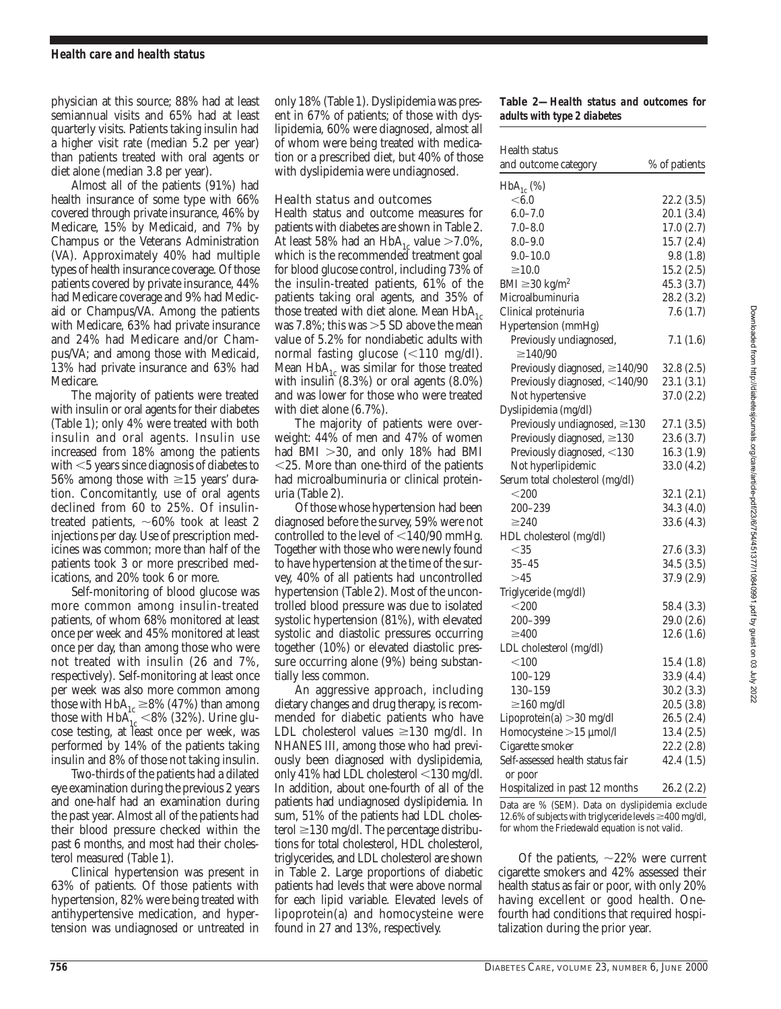physician at this source; 88% had at least semiannual visits and 65% had at least quarterly visits. Patients taking insulin had a higher visit rate (median 5.2 per year) than patients treated with oral agents or diet alone (median 3.8 per year).

Almost all of the patients (91%) had health insurance of some type with 66% covered through private insurance, 46% by Medicare, 15% by Medicaid, and 7% by Champus or the Veterans Administration (VA). Approximately 40% had multiple types of health insurance coverage. Of those patients covered by private insurance, 44% had Medicare coverage and 9% had Medicaid or Champus/VA. Among the patients with Medicare, 63% had private insurance and 24% had Medicare and/or Champus/VA; and among those with Medicaid, 13% had private insurance and 63% had Medicare.

The majority of patients were treated with insulin or oral agents for their diabetes (Table 1); only 4% were treated with both insulin and oral agents. Insulin use increased from 18% among the patients with  $<$  5 years since diagnosis of diabetes to 56% among those with  $\geq$ 15 years' duration. Concomitantly, use of oral agents declined from 60 to 25%. Of insulintreated patients,  $\sim 60\%$  took at least 2 injections per day. Use of prescription medicines was common; more than half of the patients took 3 or more prescribed medications, and 20% took 6 or more.

Self-monitoring of blood glucose was more common among insulin-treated patients, of whom 68% monitored at least once per week and 45% monitored at least once per day, than among those who were not treated with insulin (26 and 7%, respectively). Self-monitoring at least once per week was also more common among those with  $HbA_{1c} \geq 8\%$  (47%) than among those with  $HbA_{1c}$  <8% (32%). Urine glucose testing, at least once per week, was performed by 14% of the patients taking insulin and 8% of those not taking insulin.

Two-thirds of the patients had a dilated eye examination during the previous 2 years and one-half had an examination during the past year. Almost all of the patients had their blood pressure checked within the past 6 months, and most had their cholesterol measured (Table 1).

Clinical hypertension was present in 63% of patients. Of those patients with hypertension, 82% were being treated with antihypertensive medication, and hypertension was undiagnosed or untreated in only 18% (Table 1). Dyslipidemia was present in 67% of patients; of those with dyslipidemia, 60% were diagnosed, almost all of whom were being treated with medication or a prescribed diet, but 40% of those with dyslipidemia were undiagnosed.

# Health status and outcomes

Health status and outcome measures for patients with diabetes are shown in Table 2. At least 58% had an  $HbA_{1c}$  value  $>7.0\%$ , which is the recommended treatment goal for blood glucose control, including 73% of the insulin-treated patients, 61% of the patients taking oral agents, and 35% of those treated with diet alone. Mean  $HbA_{1c}$ was 7.8%; this was  $>5$  SD above the mean value of 5.2% for nondiabetic adults with normal fasting glucose  $\left($  < 110 mg/dl). Mean  $HbA_{1c}$  was similar for those treated with insulin (8.3%) or oral agents (8.0%) and was lower for those who were treated with diet alone (6.7%).

The majority of patients were overweight: 44% of men and 47% of women had BMI  $>30$ , and only 18% had BMI  $<$ 25. More than one-third of the patients had microalbuminuria or clinical proteinuria (Table 2).

Of those whose hypertension had been diagnosed before the survey, 59% were not controlled to the level of  $<$ 140/90 mmHg. Together with those who were newly found to have hypertension at the time of the survey, 40% of all patients had uncontrolled hypertension (Table 2). Most of the uncontrolled blood pressure was due to isolated systolic hypertension (81%), with elevated systolic and diastolic pressures occurring together (10%) or elevated diastolic pressure occurring alone (9%) being substantially less common.

An aggressive approach, including dietary changes and drug therapy, is recommended for diabetic patients who have LDL cholesterol values  $\geq$ 130 mg/dl. In NHANES III, among those who had previously been diagnosed with dyslipidemia, only 41% had LDL cholesterol  $<$ 130 mg/dl. In addition, about one-fourth of all of the patients had undiagnosed dyslipidemia. In sum, 51% of the patients had LDL cholesterol  $\geq$ 130 mg/dl. The percentage distributions for total cholesterol, HDL cholesterol, triglycerides, and LDL cholesterol are shown in Table 2. Large proportions of diabetic patients had levels that were above normal for each lipid variable. Elevated levels of lipoprotein(a) and homocysteine were found in 27 and 13%, respectively.

#### **Table 2—***Health status and outcomes for adults with type 2 diabetes*

| Health status                            |               |
|------------------------------------------|---------------|
| and outcome category                     | % of patients |
|                                          |               |
| $HbA_{1c}$ (%)<br>< 6.0                  | 22.2 (3.5)    |
| $6.0 - 7.0$                              | 20.1 (3.4)    |
| $7.0 - 8.0$                              | 17.0 (2.7)    |
| $8.0 - 9.0$                              | 15.7(2.4)     |
| $9.0 - 10.0$                             | 9.8(1.8)      |
| $\geq10.0$                               | 15.2(2.5)     |
| BMI $\geq$ 30 kg/m <sup>2</sup>          | 45.3 (3.7)    |
| Microalbuminuria                         | 28.2 (3.2)    |
| Clinical proteinuria                     | 7.6(1.7)      |
|                                          |               |
| Hypertension (mmHg)                      |               |
| Previously undiagnosed,<br>$\geq$ 140/90 | 7.1(1.6)      |
|                                          |               |
| Previously diagnosed, $\geq$ 140/90      | 32.8(2.5)     |
| Previously diagnosed, <140/90            | 23.1(3.1)     |
| Not hypertensive                         | 37.0(2.2)     |
| Dyslipidemia (mg/dl)                     |               |
| Previously undiagnosed, $\geq$ 130       | 27.1 (3.5)    |
| Previously diagnosed, $\geq$ 130         | 23.6 (3.7)    |
| Previously diagnosed, <130               | 16.3(1.9)     |
| Not hyperlipidemic                       | 33.0 (4.2)    |
| Serum total cholesterol (mg/dl)          |               |
| $<$ 200                                  | 32.1(2.1)     |
| 200-239                                  | 34.3 (4.0)    |
| $\geq$ 240                               | 33.6 (4.3)    |
| HDL cholesterol (mg/dl)                  |               |
| $<$ 35                                   | 27.6 (3.3)    |
| $35 - 45$                                | 34.5 (3.5)    |
| >45                                      | 37.9 (2.9)    |
| Triglyceride (mg/dl)                     |               |
| $<$ 200                                  | 58.4 (3.3)    |
| 200-399                                  | 29.0 (2.6)    |
| $\geq 400$                               | 12.6(1.6)     |
| LDL cholesterol (mg/dl)                  |               |
| < 100                                    | 15.4(1.8)     |
| 100-129                                  | 33.9 (4.4)    |
| 130–159                                  | 30.2(3.3)     |
| $\geq$ 160 mg/dl                         | 20.5 (3.8)    |
| Lipoprotein(a) > 30 mg/dl                | 26.5(2.4)     |
| Homocysteine > 15 µmol/l                 | 13.4(2.5)     |
| Cigarette smoker                         | 22.2 (2.8)    |
| Self-assessed health status fair         | 42.4(1.5)     |
| or poor                                  |               |
| Hospitalized in past 12 months           | 26.2(2.2)     |

Data are % (SEM). Data on dyslipidemia exclude 12.6% of subjects with triglyceride levels  $\geq$ 400 mg/dl, for whom the Friedewald equation is not valid.

Of the patients,  $\sim$ 22% were current cigarette smokers and 42% assessed their health status as fair or poor, with only 20% having excellent or good health. Onefourth had conditions that required hospitalization during the prior year.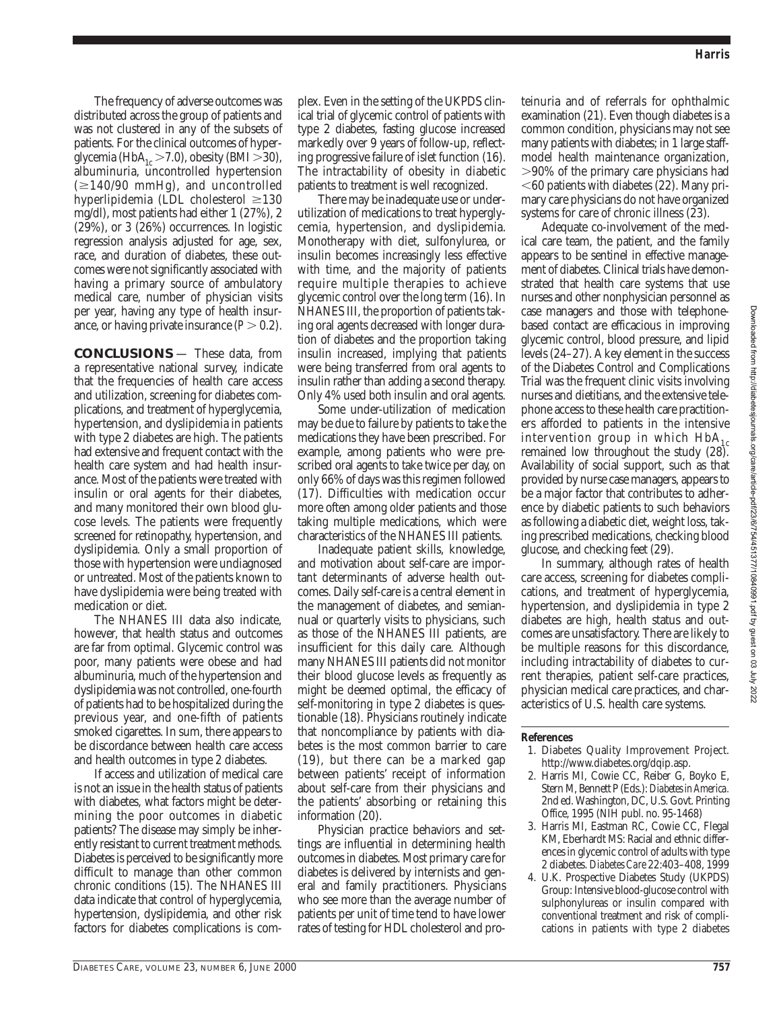The frequency of adverse outcomes was distributed across the group of patients and was not clustered in any of the subsets of patients. For the clinical outcomes of hyperglycemia (HbA<sub>1c</sub> > 7.0), obesity (BMI > 30), albuminuria, uncontrolled hypertension  $(\geq 140/90 \text{ mmHg})$ , and uncontrolled hyperlipidemia (LDL cholesterol  $\geq$ 130 mg/dl), most patients had either 1 (27%), 2 (29%), or 3 (26%) occurrences. In logistic regression analysis adjusted for age, sex, race, and duration of diabetes, these outcomes were not significantly associated with having a primary source of ambulatory medical care, number of physician visits per year, having any type of health insurance, or having private insurance  $(P > 0.2)$ .

**CONCLUSIONS** — These data, from a representative national survey, indicate that the frequencies of health care access and utilization, screening for diabetes complications, and treatment of hyperglycemia, hypertension, and dyslipidemia in patients with type 2 diabetes are high. The patients had extensive and frequent contact with the health care system and had health insurance. Most of the patients were treated with insulin or oral agents for their diabetes, and many monitored their own blood glucose levels. The patients were frequently screened for retinopathy, hypertension, and dyslipidemia. Only a small proportion of those with hypertension were undiagnosed or untreated. Most of the patients known to have dyslipidemia were being treated with medication or diet.

The NHANES III data also indicate, however, that health status and outcomes are far from optimal. Glycemic control was poor, many patients were obese and had albuminuria, much of the hypertension and dyslipidemia was not controlled, one-fourth of patients had to be hospitalized during the previous year, and one-fifth of patients smoked cigarettes. In sum, there appears to be discordance between health care access and health outcomes in type 2 diabetes.

If access and utilization of medical care is not an issue in the health status of patients with diabetes, what factors might be determining the poor outcomes in diabetic patients? The disease may simply be inherently resistant to current treatment methods. Diabetes is perceived to be significantly more difficult to manage than other common chronic conditions (15). The NHANES III data indicate that control of hyperglycemia, hypertension, dyslipidemia, and other risk factors for diabetes complications is com-

plex. Even in the setting of the UKPDS clinical trial of glycemic control of patients with type 2 diabetes, fasting glucose increased markedly over 9 years of follow-up, reflecting progressive failure of islet function (16). The intractability of obesity in diabetic patients to treatment is well recognized.

There may be inadequate use or underutilization of medications to treat hyperglycemia, hypertension, and dyslipidemia. Monotherapy with diet, sulfonylurea, or insulin becomes increasingly less effective with time, and the majority of patients require multiple therapies to achieve glycemic control over the long term (16). In NHANES III, the proportion of patients taking oral agents decreased with longer duration of diabetes and the proportion taking insulin increased, implying that patients were being transferred from oral agents to insulin rather than adding a second therapy. Only 4% used both insulin and oral agents.

Some under-utilization of medication may be due to failure by patients to take the medications they have been prescribed. For example, among patients who were prescribed oral agents to take twice per day, on only 66% of days was this regimen followed (17). Difficulties with medication occur more often among older patients and those taking multiple medications, which were characteristics of the NHANES III patients.

Inadequate patient skills, knowledge, and motivation about self-care are important determinants of adverse health outcomes. Daily self-care is a central element in the management of diabetes, and semiannual or quarterly visits to physicians, such as those of the NHANES III patients, are insufficient for this daily care. Although many NHANES III patients did not monitor their blood glucose levels as frequently as might be deemed optimal, the efficacy of self-monitoring in type 2 diabetes is questionable (18). Physicians routinely indicate that noncompliance by patients with diabetes is the most common barrier to care (19), but there can be a marked gap between patients' receipt of information about self-care from their physicians and the patients' absorbing or retaining this information (20).

Physician practice behaviors and settings are influential in determining health outcomes in diabetes. Most primary care for diabetes is delivered by internists and general and family practitioners. Physicians who see more than the average number of patients per unit of time tend to have lower rates of testing for HDL cholesterol and proteinuria and of referrals for ophthalmic examination (21). Even though diabetes is a common condition, physicians may not see many patients with diabetes; in 1 large staffmodel health maintenance organization, .90% of the primary care physicians had  $<$  60 patients with diabetes (22). Many primary care physicians do not have organized systems for care of chronic illness (23).

Adequate co-involvement of the medical care team, the patient, and the family appears to be sentinel in effective management of diabetes. Clinical trials have demonstrated that health care systems that use nurses and other nonphysician personnel as case managers and those with telephonebased contact are efficacious in improving glycemic control, blood pressure, and lipid levels (24–27). A key element in the success of the Diabetes Control and Complications Trial was the frequent clinic visits involving nurses and dietitians, and the extensive telephone access to these health care practitioners afforded to patients in the intensive intervention group in which  $HbA_{1c}$ remained low throughout the study (28). Availability of social support, such as that provided by nurse case managers, appears to be a major factor that contributes to adherence by diabetic patients to such behaviors as following a diabetic diet, weight loss, taking prescribed medications, checking blood glucose, and checking feet (29).

In summary, although rates of health care access, screening for diabetes complications, and treatment of hyperglycemia, hypertension, and dyslipidemia in type 2 diabetes are high, health status and outcomes are unsatisfactory. There are likely to be multiple reasons for this discordance, including intractability of diabetes to current therapies, patient self-care practices, physician medical care practices, and characteristics of U.S. health care systems.

#### **References**

- 1. Diabetes Quality Improvement Project. http://www.diabetes.org/dqip.asp.
- 2. Harris MI, Cowie CC, Reiber G, Boyko E, Stern M, Bennett P (Eds.): *Diabetes in America.* 2nd ed. Washington, DC, U.S. Govt. Printing Office, 1995 (NIH publ. no. 95-1468)
- 3. Harris MI, Eastman RC, Cowie CC, Flegal KM, Eberhardt MS: Racial and ethnic differences in glycemic control of adults with type 2 diabetes. *Diabetes Care* 22:403–408, 1999
- 4. U.K. Prospective Diabetes Study (UKPDS) Group: Intensive blood-glucose control with sulphonylureas or insulin compared with conventional treatment and risk of complications in patients with type 2 diabetes